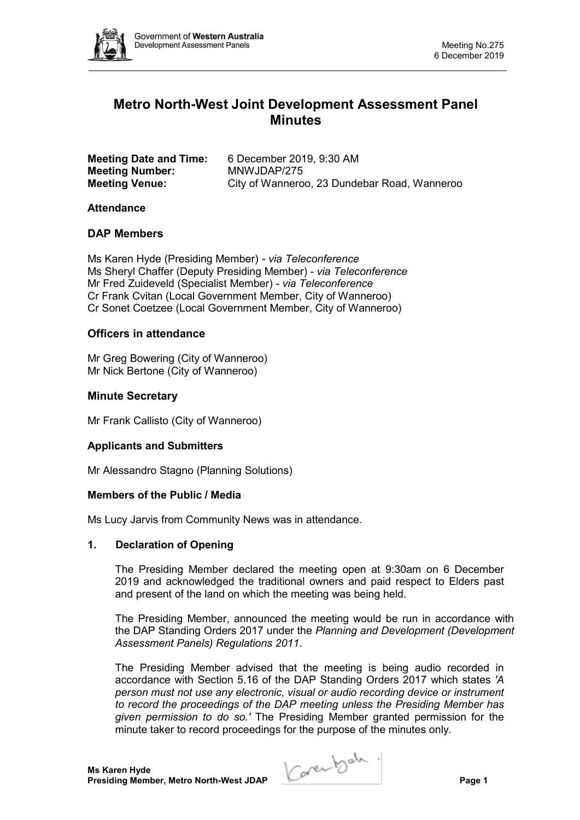

# **Metro North-West Joint Development Assessment Panel Minutes**

| <b>Meeting Date and Time:</b> | 6 December 2019, 9:30 AM                     |
|-------------------------------|----------------------------------------------|
| <b>Meeting Number:</b>        | MNWJDAP/275                                  |
| <b>Meeting Venue:</b>         | City of Wanneroo, 23 Dundebar Road, Wanneroo |

#### **Attendance**

### **DAP Members**

Ms Karen Hyde (Presiding Member) *- via Teleconference* Ms Sheryl Chaffer (Deputy Presiding Member) - *via Teleconference* Mr Fred Zuideveld (Specialist Member) - *via Teleconference* Cr Frank Cvitan (Local Government Member, City of Wanneroo) Cr Sonet Coetzee (Local Government Member, City of Wanneroo)

## **Officers in attendance**

Mr Greg Bowering (City of Wanneroo) Mr Nick Bertone (City of Wanneroo)

## **Minute Secretary**

Mr Frank Callisto (City of Wanneroo)

#### **Applicants and Submitters**

Mr Alessandro Stagno (Planning Solutions)

#### **Members of the Public / Media**

Ms Lucy Jarvis from Community News was in attendance.

#### **1. Declaration of Opening**

The Presiding Member declared the meeting open at 9:30am on 6 December 2019 and acknowledged the traditional owners and paid respect to Elders past and present of the land on which the meeting was being held.

The Presiding Member, announced the meeting would be run in accordance with the DAP Standing Orders 2017 under the *Planning and Development (Development Assessment Panels) Regulations 2011*.

The Presiding Member advised that the meeting is being audio recorded in accordance with Section 5.16 of the DAP Standing Orders 2017 which states *'A person must not use any electronic, visual or audio recording device or instrument to record the proceedings of the DAP meeting unless the Presiding Member has given permission to do so.'* The Presiding Member granted permission for the minute taker to record proceedings for the purpose of the minutes only.

**Presiding Member, Metro North-West JDAP Page 1**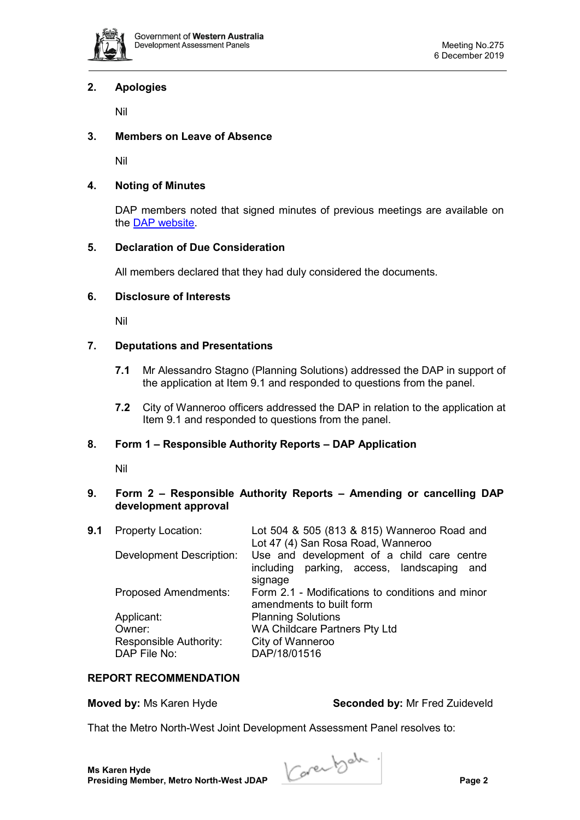

## **2. Apologies**

Nil

## **3. Members on Leave of Absence**

Nil

## **4. Noting of Minutes**

DAP members noted that signed minutes of previous meetings are available on the [DAP website.](https://www.dplh.wa.gov.au/about/development-assessment-panels/daps-agendas-and-minutes)

## **5. Declaration of Due Consideration**

All members declared that they had duly considered the documents.

## **6. Disclosure of Interests**

Nil

## **7. Deputations and Presentations**

- **7.1** Mr Alessandro Stagno (Planning Solutions) addressed the DAP in support of the application at Item 9.1 and responded to questions from the panel.
- **7.2** City of Wanneroo officers addressed the DAP in relation to the application at Item 9.1 and responded to questions from the panel.

## **8. Form 1 – Responsible Authority Reports – DAP Application**

Nil

## **9. Form 2 – Responsible Authority Reports – Amending or cancelling DAP development approval**

| 9.1 | <b>Property Location:</b>       | Lot 504 & 505 (813 & 815) Wanneroo Road and<br>Lot 47 (4) San Rosa Road, Wanneroo           |  |
|-----|---------------------------------|---------------------------------------------------------------------------------------------|--|
|     | <b>Development Description:</b> | Use and development of a child care centre<br>including parking, access, landscaping<br>and |  |
|     |                                 | signage                                                                                     |  |
|     | <b>Proposed Amendments:</b>     | Form 2.1 - Modifications to conditions and minor<br>amendments to built form                |  |
|     | Applicant:                      | <b>Planning Solutions</b>                                                                   |  |
|     | Owner:                          | WA Childcare Partners Pty Ltd                                                               |  |
|     | Responsible Authority:          | City of Wanneroo                                                                            |  |
|     | DAP File No:                    | DAP/18/01516                                                                                |  |
|     |                                 |                                                                                             |  |

## **REPORT RECOMMENDATION**

**Moved by:** Ms Karen Hyde **Seconded by:** Mr Fred Zuideveld

That the Metro North-West Joint Development Assessment Panel resolves to:

**Ms Karen Hyde Presiding Member, Metro North-West JDAP Page 2**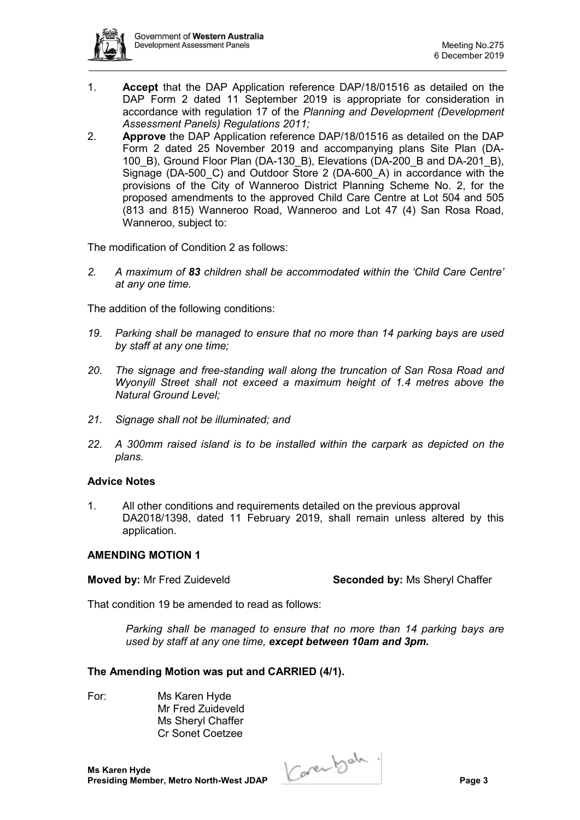

- 1. **Accept** that the DAP Application reference DAP/18/01516 as detailed on the DAP Form 2 dated 11 September 2019 is appropriate for consideration in accordance with regulation 17 of the *Planning and Development (Development Assessment Panels) Regulations 2011;*
- 2. **Approve** the DAP Application reference DAP/18/01516 as detailed on the DAP Form 2 dated 25 November 2019 and accompanying plans Site Plan (DA-100 B), Ground Floor Plan (DA-130 B), Elevations (DA-200 B and DA-201 B), Signage (DA-500\_C) and Outdoor Store 2 (DA-600\_A) in accordance with the provisions of the City of Wanneroo District Planning Scheme No. 2, for the proposed amendments to the approved Child Care Centre at Lot 504 and 505 (813 and 815) Wanneroo Road, Wanneroo and Lot 47 (4) San Rosa Road, Wanneroo, subject to:

The modification of Condition 2 as follows:

*2. A maximum of 83 children shall be accommodated within the 'Child Care Centre' at any one time.*

The addition of the following conditions:

- *19. Parking shall be managed to ensure that no more than 14 parking bays are used by staff at any one time;*
- *20. The signage and free-standing wall along the truncation of San Rosa Road and Wyonyill Street shall not exceed a maximum height of 1.4 metres above the Natural Ground Level;*
- *21. Signage shall not be illuminated; and*
- *22. A 300mm raised island is to be installed within the carpark as depicted on the plans.*

#### **Advice Notes**

1. All other conditions and requirements detailed on the previous approval DA2018/1398, dated 11 February 2019, shall remain unless altered by this application.

#### **AMENDING MOTION 1**

**Moved by:** Mr Fred Zuideveld **Seconded by:** Ms Sheryl Chaffer

That condition 19 be amended to read as follows:

*Parking shall be managed to ensure that no more than 14 parking bays are used by staff at any one time, except between 10am and 3pm.* 

#### **The Amending Motion was put and CARRIED (4/1).**

For: Ms Karen Hyde Mr Fred Zuideveld Ms Sheryl Chaffer Cr Sonet Coetzee

**Ms Karen Hyde**

**Presiding Member, Metro North-West JDAP Page 3**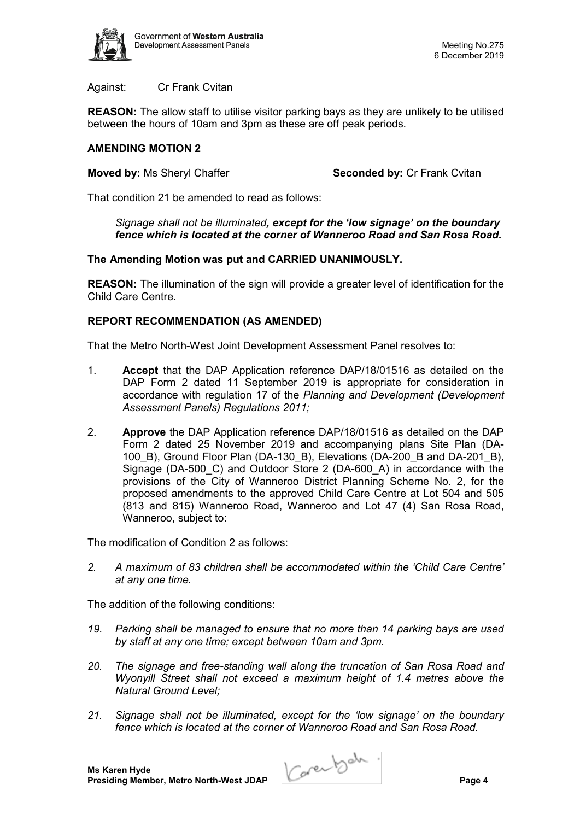

Against: Cr Frank Cvitan

**REASON:** The allow staff to utilise visitor parking bays as they are unlikely to be utilised between the hours of 10am and 3pm as these are off peak periods.

## **AMENDING MOTION 2**

**Moved by: Ms Sheryl Chaffer <b>Seconded by:** Cr Frank Cvitan

That condition 21 be amended to read as follows:

*Signage shall not be illuminated, except for the 'low signage' on the boundary fence which is located at the corner of Wanneroo Road and San Rosa Road.*

### **The Amending Motion was put and CARRIED UNANIMOUSLY.**

**REASON:** The illumination of the sign will provide a greater level of identification for the Child Care Centre.

### **REPORT RECOMMENDATION (AS AMENDED)**

That the Metro North-West Joint Development Assessment Panel resolves to:

- 1. **Accept** that the DAP Application reference DAP/18/01516 as detailed on the DAP Form 2 dated 11 September 2019 is appropriate for consideration in accordance with regulation 17 of the *Planning and Development (Development Assessment Panels) Regulations 2011;*
- 2. **Approve** the DAP Application reference DAP/18/01516 as detailed on the DAP Form 2 dated 25 November 2019 and accompanying plans Site Plan (DA-100 B), Ground Floor Plan (DA-130 B), Elevations (DA-200 B and DA-201 B), Signage (DA-500 C) and Outdoor Store 2 (DA-600 A) in accordance with the provisions of the City of Wanneroo District Planning Scheme No. 2, for the proposed amendments to the approved Child Care Centre at Lot 504 and 505 (813 and 815) Wanneroo Road, Wanneroo and Lot 47 (4) San Rosa Road, Wanneroo, subject to:

The modification of Condition 2 as follows:

*2. A maximum of 83 children shall be accommodated within the 'Child Care Centre' at any one time.*

The addition of the following conditions:

- *19. Parking shall be managed to ensure that no more than 14 parking bays are used by staff at any one time; except between 10am and 3pm.*
- *20. The signage and free-standing wall along the truncation of San Rosa Road and Wyonyill Street shall not exceed a maximum height of 1.4 metres above the Natural Ground Level;*
- *21. Signage shall not be illuminated, except for the 'low signage' on the boundary fence which is located at the corner of Wanneroo Road and San Rosa Road.*